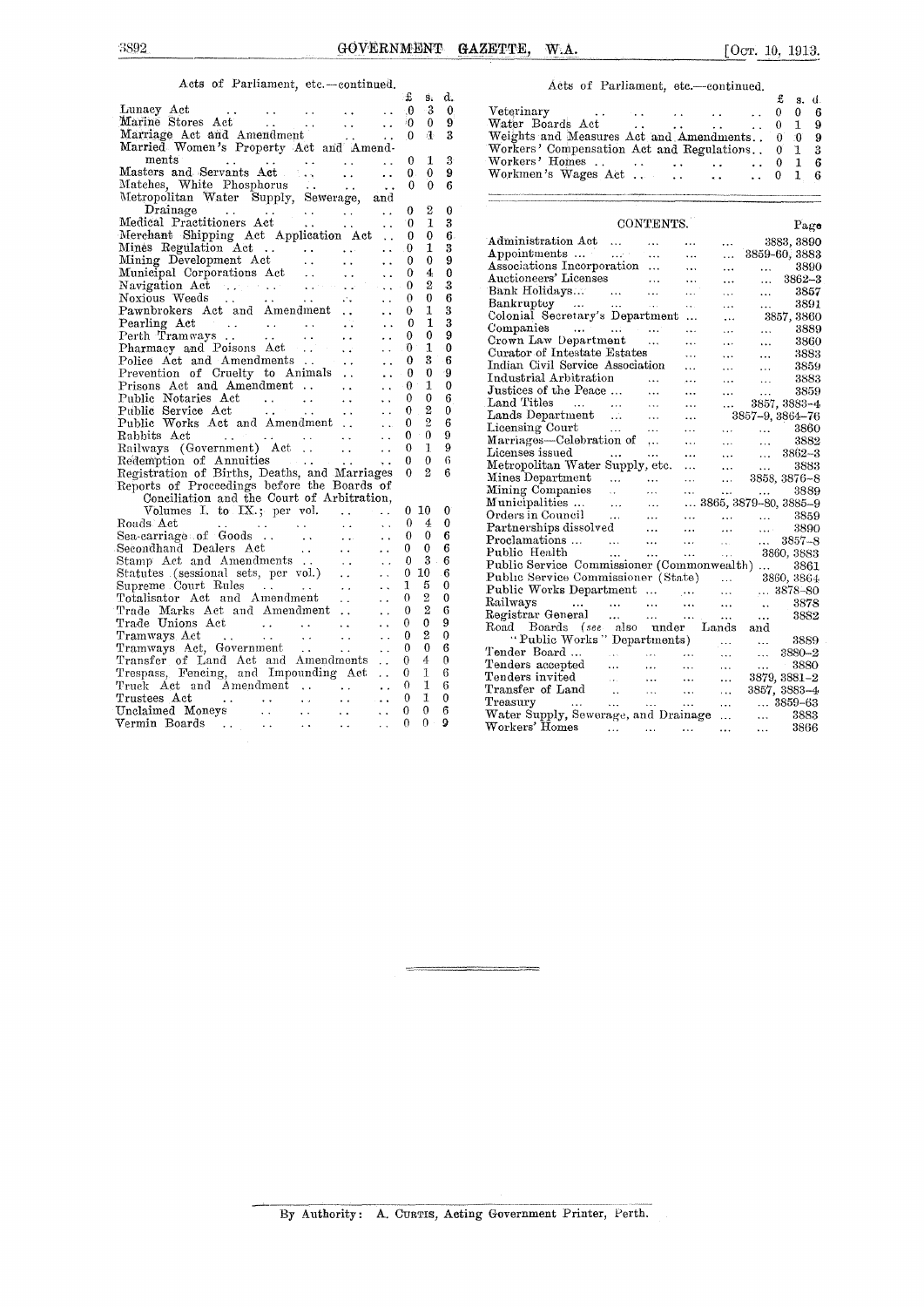### Acts of Parliament, etc.-continued.

| A WAY WE ANNAFRANCE                                                                                                                                                                                                                                                                                                                                                                  |                                              | £        | $\vec{\mathbf{S}}_k$ | d.                  |
|--------------------------------------------------------------------------------------------------------------------------------------------------------------------------------------------------------------------------------------------------------------------------------------------------------------------------------------------------------------------------------------|----------------------------------------------|----------|----------------------|---------------------|
|                                                                                                                                                                                                                                                                                                                                                                                      |                                              | $\theta$ | -3                   | 0                   |
|                                                                                                                                                                                                                                                                                                                                                                                      |                                              | $\theta$ | 0                    | 9                   |
| Marine Stores Act<br>Marriage Act and Amendment<br>$\ddotsc$                                                                                                                                                                                                                                                                                                                         | i i                                          | $\Omega$ | 违                    | 3                   |
| Marriage Act and Amendment<br>Married Women's Property Act and Amend-                                                                                                                                                                                                                                                                                                                |                                              |          |                      |                     |
|                                                                                                                                                                                                                                                                                                                                                                                      |                                              | 0        | 1                    | 3                   |
| ments<br>Masters and Servants Act<br>Matches, White Phosphorus<br>Metropolitan Water Supply, Sewerage, and<br>Dreiners                                                                                                                                                                                                                                                               |                                              | 0.       | 0                    | 9                   |
|                                                                                                                                                                                                                                                                                                                                                                                      |                                              | $\Omega$ | $\Omega$             | 6                   |
|                                                                                                                                                                                                                                                                                                                                                                                      |                                              |          |                      |                     |
|                                                                                                                                                                                                                                                                                                                                                                                      |                                              | 0        | $\overline{2}$       | 0                   |
| Drainage<br>ical Practitioners Act<br>Medical Practitioners Act                                                                                                                                                                                                                                                                                                                      |                                              | $\theta$ | $\mathbf{1}$         | 3                   |
| Merchant Shipping Act (1997)<br>Merchant Shipping Act Application Act Mines Regulation Act (1997)<br>Mining Development Act (1998)<br>Municipal Corporations Act (1998)<br>Navigation Act (1998)<br>Navigation Act (1998)<br>Navigation Ac                                                                                                                                           |                                              | O        | 0                    | 6.                  |
|                                                                                                                                                                                                                                                                                                                                                                                      |                                              | 0        | 1                    | 3                   |
|                                                                                                                                                                                                                                                                                                                                                                                      |                                              | 0        | 0                    | 9                   |
|                                                                                                                                                                                                                                                                                                                                                                                      | $\ddot{\phantom{0}}$<br>$\ddot{\phantom{a}}$ | 0        | 4                    | 0                   |
|                                                                                                                                                                                                                                                                                                                                                                                      | $\mathbf{1}$                                 | 0        | 2                    | 3                   |
|                                                                                                                                                                                                                                                                                                                                                                                      |                                              | 0        | 0                    | 6                   |
|                                                                                                                                                                                                                                                                                                                                                                                      |                                              | 0        | 1                    | 3                   |
|                                                                                                                                                                                                                                                                                                                                                                                      |                                              | 0        | 1                    | 3                   |
| Pearling Act<br>Perth Tramways<br>Pharmacy and Poisons Act<br>                                                                                                                                                                                                                                                                                                                       |                                              | 0        | $\bf{0}$             | 9                   |
|                                                                                                                                                                                                                                                                                                                                                                                      |                                              | 0        | 1                    | $\ddot{\mathbf{0}}$ |
|                                                                                                                                                                                                                                                                                                                                                                                      |                                              | 0        | 3                    | 6                   |
| Police Act and Amendments<br>Prevention of Cruelty to Animals                                                                                                                                                                                                                                                                                                                        |                                              | 0        | 0                    | -9                  |
| Prisons Act and Amendment                                                                                                                                                                                                                                                                                                                                                            | $\ddot{\phantom{a}}$                         | $\theta$ | 1                    | 0                   |
| Public Notaries Act                                                                                                                                                                                                                                                                                                                                                                  |                                              | 0        | 0                    | 6                   |
| $\label{eq:2} \begin{split} \mathcal{L}_{\text{max}}(\mathbf{r},\mathbf{r}) & = \mathcal{L}_{\text{max}}(\mathbf{r},\mathbf{r}) \\ & = \mathcal{L}_{\text{max}}(\mathbf{r},\mathbf{r}) + \mathcal{L}_{\text{max}}(\mathbf{r},\mathbf{r}) \\ & = \mathcal{L}_{\text{max}}(\mathbf{r},\mathbf{r}) + \mathcal{L}_{\text{max}}(\mathbf{r},\mathbf{r}) \end{split}$<br>Public Service Act |                                              | 0        | $\overline{2}$       | 0                   |
| Public Works Act and Amendment                                                                                                                                                                                                                                                                                                                                                       |                                              | 0        | $\overline{2}$       | 6                   |
| Rabbits Act                                                                                                                                                                                                                                                                                                                                                                          |                                              | 0        | $\boldsymbol{0}$     | 9                   |
| $\sim$ 44.<br><b>Contractor</b><br>Railways (Government) Act.<br>$\mathcal{L}(\mathbf{x})$                                                                                                                                                                                                                                                                                           |                                              | 0        | 1                    | 9                   |
|                                                                                                                                                                                                                                                                                                                                                                                      | $\ddot{\phantom{a}}$                         | 0        | 0                    | 6                   |
| Redemption of Annuities<br>Registration of Births, Deaths, and Marriages                                                                                                                                                                                                                                                                                                             |                                              | $\Omega$ | $\overline{2}$       | 6                   |
| Reports of Proceedings before the Boards of                                                                                                                                                                                                                                                                                                                                          |                                              |          |                      |                     |
| Conciliation and the Court of Arbitration,                                                                                                                                                                                                                                                                                                                                           |                                              |          |                      |                     |
| Volumes I. to IX.; per vol.                                                                                                                                                                                                                                                                                                                                                          |                                              | 0        | 10                   | 0                   |
| Roads Act                                                                                                                                                                                                                                                                                                                                                                            |                                              | 0        | 4                    | 0                   |
| $\sim 10$<br>$\sim$ $\sim$                                                                                                                                                                                                                                                                                                                                                           | $\ddotsc$<br>$\ddotsc$                       | 0        | 0                    | 6                   |
| Secondhand Dealers Act<br>$\mathbf{A}$ .                                                                                                                                                                                                                                                                                                                                             | $\ddot{\phantom{0}}$                         | 0        | 0                    | 6                   |
| Stamp Act and Amendments                                                                                                                                                                                                                                                                                                                                                             | $\ddot{\phantom{a}}$                         | O        | 3                    | 6                   |
| Stamp Act and Amendments<br>Statutes (sessional sets, per vol.)                                                                                                                                                                                                                                                                                                                      | $\ddotsc$                                    | 0        | 10                   | -6                  |
| Supreme Court Rules                                                                                                                                                                                                                                                                                                                                                                  |                                              | 1        | 5                    | $\theta$            |
| Supreme Court Rules<br>Totalisator Act and Amendment<br>Trade Marks Act and Amendment                                                                                                                                                                                                                                                                                                |                                              | 0        | 2                    | 0                   |
|                                                                                                                                                                                                                                                                                                                                                                                      | $\ddot{\phantom{0}}$                         | 0        | $\overline{2}$       | 6                   |
|                                                                                                                                                                                                                                                                                                                                                                                      |                                              | 0        | 0                    | 9                   |
|                                                                                                                                                                                                                                                                                                                                                                                      |                                              | 0        | 2                    | 0                   |
|                                                                                                                                                                                                                                                                                                                                                                                      |                                              | 0        | 0                    | 6                   |
|                                                                                                                                                                                                                                                                                                                                                                                      |                                              | 0        | 4                    | $\theta$            |
|                                                                                                                                                                                                                                                                                                                                                                                      |                                              | 0        | 1                    | 6                   |
| Trade Unions Act<br>Tramways Act<br>Tramways Act, Government<br>Transfer of Land Act and Amendments<br>Transfer of Land Act and Impounding Act<br>Trespass, Fencing, and Impounding Act<br>Truck Act and Amendment<br>$\sim 100$                                                                                                                                                     | $\ddot{\phantom{a}}$                         | 0        | 1                    | 6                   |
| $\sim 10^{-1}$                                                                                                                                                                                                                                                                                                                                                                       | $\sim$ .                                     | 0        | 1                    | 0                   |
| $\sim 100$<br>Trustees Act<br>Unclaimed Moneys<br>$\ddotsc$<br>$\ddot{\phantom{a}}$                                                                                                                                                                                                                                                                                                  | $\ddot{\phantom{0}}$                         | 0        | 0                    | 6                   |
| Vermin Boards<br>$\mathcal{L}(\mathcal{A})$ .<br>$\mathbf{r}$<br>$\ddotsc$                                                                                                                                                                                                                                                                                                           |                                              | n        | 0                    | 9                   |
|                                                                                                                                                                                                                                                                                                                                                                                      |                                              |          |                      |                     |

#### Acts of Parliament, etc.—continued.

| t s d.              |             |                                                  | <b>s.</b> d. |  |
|---------------------|-------------|--------------------------------------------------|--------------|--|
| $0 \quad 3 \quad 0$ |             |                                                  |              |  |
| $0 \quad 0 \quad 9$ |             | Water Boards Act 0 1                             |              |  |
| $0 + 3$             |             | Weights and Measures Act and Amendments 0 0 9    |              |  |
|                     |             | Workers' Compensation Act and Regulations. 0 1 3 |              |  |
|                     | $0 \t1 \t3$ | Workers' Homes 0                                 |              |  |
| 0.0                 | - 9         | Workmen's Wages Act     0 1 6                    |              |  |
| $0 \quad 0 \quad e$ |             |                                                  |              |  |

|                                                 |                   | CONTENTS.                      |                                                                                   |                                                                                                                                                                                                                    |                                                           | Page                           |
|-------------------------------------------------|-------------------|--------------------------------|-----------------------------------------------------------------------------------|--------------------------------------------------------------------------------------------------------------------------------------------------------------------------------------------------------------------|-----------------------------------------------------------|--------------------------------|
| Administration Act<br>Appointments              |                   |                                |                                                                                   | .                                                                                                                                                                                                                  |                                                           | 3883, 3890                     |
|                                                 |                   |                                | $\ddotsc$                                                                         | .                                                                                                                                                                                                                  |                                                           | 8859-60, 3883                  |
| Associations Incorporation                      |                   |                                | $\ddotsc$                                                                         | $\ldots$                                                                                                                                                                                                           | saan in t                                                 | 3890                           |
| Auctioneers' Licenses                           |                   |                                | $\cdots$                                                                          | $\ddotsc$                                                                                                                                                                                                          | $\ldots$                                                  | $3862 - 3$                     |
| Bank Holidays<br>Bankruptcy                     |                   | $\sim$                         | $\ddot{\phantom{a}}$                                                              | $\cdots$                                                                                                                                                                                                           | $\cdots$                                                  | - 3857                         |
|                                                 |                   | $\sim 100$ km s $^{-1}$        | $\mathbf{r}$                                                                      | $\cdots$                                                                                                                                                                                                           | $\mathbf{1}$ and $\mathbf{1}$                             | 3891                           |
| Colonial Secretary's Department                 |                   |                                | $\ddotsc$                                                                         | $\cdots$                                                                                                                                                                                                           |                                                           | 3857, 3860                     |
| Companies                                       |                   |                                | $\cdots$                                                                          | $\cdots$                                                                                                                                                                                                           |                                                           | $\ldots$ 3889                  |
| Crown Law Department                            |                   |                                | .                                                                                 | $\cdots$                                                                                                                                                                                                           | $\sim$ 100 $\mu$                                          | 3860                           |
| Curator of Intestate Estates                    |                   |                                | .                                                                                 | $\ddotsc$                                                                                                                                                                                                          |                                                           | 3883<br>3883<br>3859           |
| Indian Civil Service Association                |                   |                                |                                                                                   | $\cdots$                                                                                                                                                                                                           |                                                           |                                |
| Industrial Arbitration                          |                   | $\ddotsc$                      | $\ldots$                                                                          | $\cdots$                                                                                                                                                                                                           |                                                           | $\ldots$ 3883                  |
| Justices of the Peace                           |                   | $\ddotsc$                      | $\ddotsc$                                                                         | $\cdots$                                                                                                                                                                                                           | $\sim$ 144                                                | 3859                           |
| Land Titles                                     |                   | $\ddotsc$                      | $\ddotsc$                                                                         |                                                                                                                                                                                                                    |                                                           | $\ldots$ 3857, 3883–4          |
| Lands Department                                |                   | $\ddotsc$                      | $\cdots$                                                                          |                                                                                                                                                                                                                    |                                                           | 3857–9, 3864–76                |
| Licensing Court                                 |                   | $\sim$ $\sim$                  | $\cdots$                                                                          |                                                                                                                                                                                                                    |                                                           | $\ldots$ $\ldots$ 3860         |
| Marriages—Celebration of                        |                   | .                              | $\ddotsc$                                                                         | $\sim$ . $\sim$                                                                                                                                                                                                    |                                                           | $\ldots$ 3882                  |
| Licenses issued                                 | <b>Contractor</b> |                                | $\ddotsc$                                                                         |                                                                                                                                                                                                                    |                                                           | $\ldots$ $\ldots$ 3862-3       |
| Metropolitan Water Supply, etc.                 |                   |                                | $\cdots$                                                                          | $\cdots$                                                                                                                                                                                                           | $\frac{1}{2}$ , $\frac{1}{2}$ , $\frac{1}{2}$             | 3883                           |
| Mines Department                                |                   |                                | $\sim$ $\sim$ $\sim$                                                              |                                                                                                                                                                                                                    |                                                           | $\ldots$ 3858, 3876-8          |
| Mining Companies                                | $\ddotsc$         | aaan in d                      | $\cdots$                                                                          | $\mathbf{1}_{\mathbf{1}_{\mathbf{2}}\mathbf{3}_{\mathbf{3}}\mathbf{4}_{\mathbf{4}}\mathbf{5}_{\mathbf{5}_{\mathbf{5}}\mathbf{6}_{\mathbf{6}}\mathbf{6}_{\mathbf{7}}\mathbf{6}_{\mathbf{8}}\mathbf{6}_{\mathbf{9}}$ | $\mathcal{L}_{\mathbf{r}}$ and $\mathcal{L}_{\mathbf{r}}$ | 3889                           |
| Municipalities                                  | $\ddotsc$         | $\sim$ $\sim$                  |                                                                                   |                                                                                                                                                                                                                    |                                                           | $\ldots$ 3865, 3879-80, 3885-9 |
| Orders in Council                               | <b>Contractor</b> | $\sim 10^{-11}$                |                                                                                   |                                                                                                                                                                                                                    |                                                           |                                |
| Partnerships dissolved                          |                   | $\sim 100$ km s $^{-1}$        | $\sim 10^{-11}$                                                                   |                                                                                                                                                                                                                    |                                                           | 3859<br>3890                   |
| Proclamations                                   |                   |                                | $\mathbf{1.1.1}$ and $\mathbf{1.1.1}$                                             |                                                                                                                                                                                                                    |                                                           | $\ldots$ 3857-8                |
| Public Health                                   | sales and         | And College                    | $\mathbf{1}_{\mathbf{1}}$ , $\mathbf{1}_{\mathbf{1}}$ , $\mathbf{1}_{\mathbf{1}}$ |                                                                                                                                                                                                                    |                                                           | 3860, 3883                     |
| Public Service Commissioner (Commonwealth)      |                   |                                |                                                                                   |                                                                                                                                                                                                                    |                                                           | 3861                           |
| Public Service Commissioner (State)  3860, 3864 |                   |                                |                                                                                   |                                                                                                                                                                                                                    |                                                           |                                |
| Public Works Department     3878-80             |                   |                                |                                                                                   |                                                                                                                                                                                                                    |                                                           |                                |
| Railways                                        |                   |                                |                                                                                   | $\sim 100$                                                                                                                                                                                                         | $\sim 100$ km s $^{-1}$ .                                 | 3878                           |
| Registrar General                               | $\cdots$          | and the most                   |                                                                                   | $\ddotsc$                                                                                                                                                                                                          | $\cdots$                                                  | 3882                           |
| Road Boards (see also under Lands               |                   |                                |                                                                                   |                                                                                                                                                                                                                    | and                                                       |                                |
| "Public Works" Departments)                     |                   |                                |                                                                                   | $\cdots$                                                                                                                                                                                                           |                                                           | $3889$                         |
| Tender Board                                    |                   | and and the state of the state |                                                                                   | $\ddotsc$                                                                                                                                                                                                          | $\cdots$                                                  | 3880-2                         |
| Tenders accepted                                |                   | $\cdots$                       | $\sim$ 144                                                                        | $\ddotsc$                                                                                                                                                                                                          |                                                           | 3880                           |
| Tenders invited                                 |                   |                                | $\sim 100$                                                                        | $\ddotsc$                                                                                                                                                                                                          |                                                           | 3879, 3881-2                   |
| Tenders invited<br>Transfer of Land             |                   |                                | $\sim$ $\sim$                                                                     | $\cdots$                                                                                                                                                                                                           |                                                           | 3857, 3883-4                   |
| Treasury                                        |                   |                                |                                                                                   | $\cdots$                                                                                                                                                                                                           |                                                           | $ 3859 - 63$                   |
| Water Supply, Sewerage, and Drainage            |                   |                                |                                                                                   | .                                                                                                                                                                                                                  | $\ddotsc$                                                 | 3883                           |
| Workers' Homes                                  | a a an choicean   | and the con-                   |                                                                                   |                                                                                                                                                                                                                    | $\cdots$                                                  | 3866                           |
|                                                 |                   |                                |                                                                                   |                                                                                                                                                                                                                    |                                                           |                                |

By Authority : A. CURTIS, Acting Government Printer, Perth.